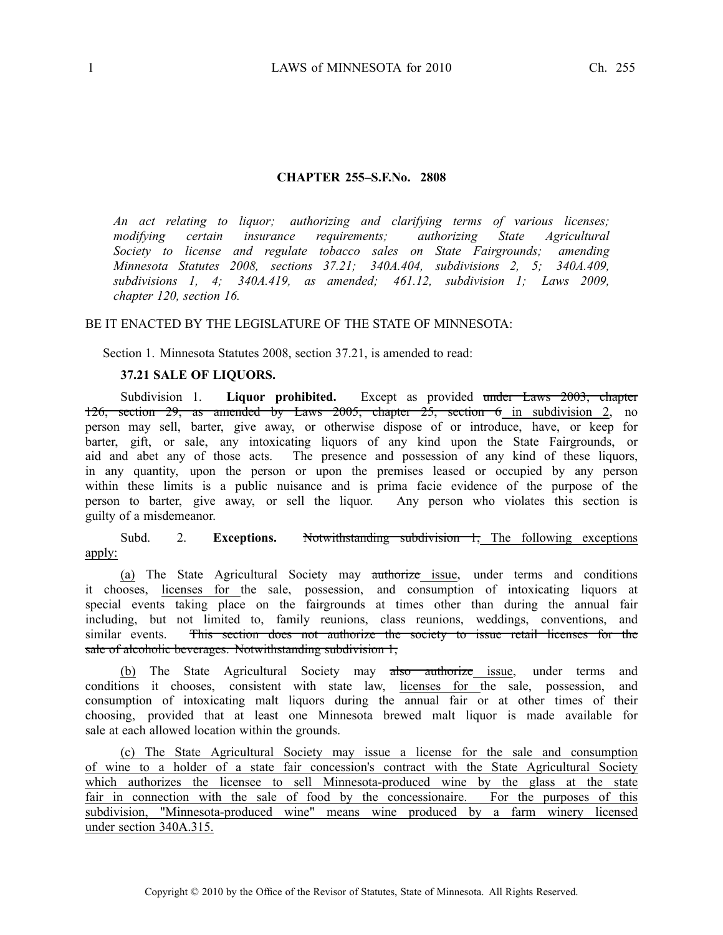#### **CHAPTER 255–S.F.No. 2808**

*An act relating to liquor; authorizing and clarifying terms of various licenses; modifying certain insurance requirements; authorizing State Agricultural Society to license and regulate tobacco sales on State Fairgrounds; amending Minnesota Statutes 2008, sections 37.21; 340A.404, subdivisions 2, 5; 340A.409, subdivisions 1, 4; 340A.419, as amended; 461.12, subdivision 1; Laws 2009, chapter 120, section 16.*

## BE IT ENACTED BY THE LEGISLATURE OF THE STATE OF MINNESOTA:

Section 1. Minnesota Statutes 2008, section 37.21, is amended to read:

### **37.21 SALE OF LIQUORS.**

Subdivision 1. **Liquor prohibited.** Except as provided under Laws 2003, chapter 126, section 29, as amended by Laws 2005, chapter  $25$ , section 6 in subdivision 2, no person may sell, barter, give away, or otherwise dispose of or introduce, have, or keep for barter, gift, or sale, any intoxicating liquors of any kind upon the State Fairgrounds, or aid and abet any of those acts. The presence and possession of any kind of these liquors, in any quantity, upon the person or upon the premises leased or occupied by any person within these limits is <sup>a</sup> public nuisance and is prima facie evidence of the purpose of the person to barter, give away, or sell the liquor. Any person who violates this section is guilty of <sup>a</sup> misdemeanor.

# Subd. 2. **Exceptions.** Notwithstanding subdivision 1, The following exceptions apply:

(a) The State Agricultural Society may authorize issue, under terms and conditions it chooses, licenses for the sale, possession, and consumption of intoxicating liquors at special events taking place on the fairgrounds at times other than during the annual fair including, but not limited to, family reunions, class reunions, weddings, conventions, and similar events. This section does not authorize the society to issue retail licenses for the sale of alcoholic beverages. Notwithstanding subdivision 1,

(b) The State Agricultural Society may also authorize issue, under terms and conditions it chooses, consistent with state law, licenses for the sale, possession, and consumption of intoxicating malt liquors during the annual fair or at other times of their choosing, provided that at least one Minnesota brewed malt liquor is made available for sale at each allowed location within the grounds.

(c) The State Agricultural Society may issue <sup>a</sup> license for the sale and consumption of wine to <sup>a</sup> holder of <sup>a</sup> state fair concession's contract with the State Agricultural Society which authorizes the licensee to sell Minnesota-produced wine by the glass at the state fair in connection with the sale of food by the concessionaire. For the purposes of this subdivision, "Minnesota-produced wine" means wine produced by <sup>a</sup> farm winery licensed under section 340A.315.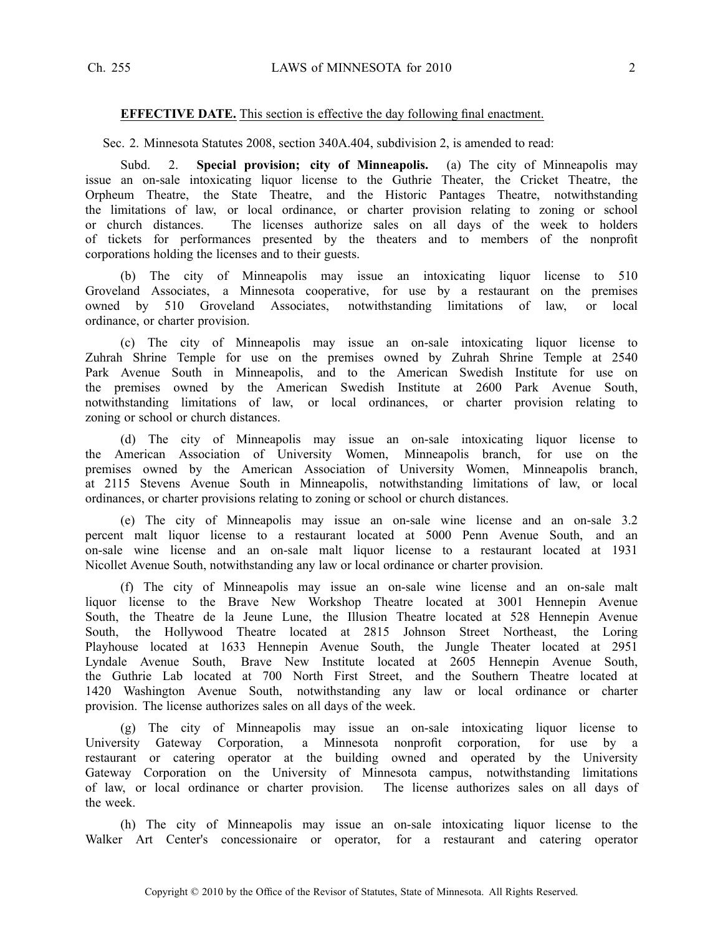#### **EFFECTIVE DATE.** This section is effective the day following final enactment.

Sec. 2. Minnesota Statutes 2008, section 340A.404, subdivision 2, is amended to read:

Subd. 2. **Special provision; city of Minneapolis.** (a) The city of Minneapolis may issue an on-sale intoxicating liquor license to the Guthrie Theater, the Cricket Theatre, the Orpheum Theatre, the State Theatre, and the Historic Pantages Theatre, notwithstanding the limitations of law, or local ordinance, or charter provision relating to zoning or school or church distances. The licenses authorize sales on all days of the week to holders of tickets for performances presented by the theaters and to members of the nonprofit corporations holding the licenses and to their guests.

(b) The city of Minneapolis may issue an intoxicating liquor license to 510 Groveland Associates, <sup>a</sup> Minnesota cooperative, for use by <sup>a</sup> restaurant on the premises owned by 510 Groveland Associates, notwithstanding limitations of law, or local ordinance, or charter provision.

(c) The city of Minneapolis may issue an on-sale intoxicating liquor license to Zuhrah Shrine Temple for use on the premises owned by Zuhrah Shrine Temple at 2540 Park Avenue South in Minneapolis, and to the American Swedish Institute for use on the premises owned by the American Swedish Institute at 2600 Park Avenue South, notwithstanding limitations of law, or local ordinances, or charter provision relating to zoning or school or church distances.

(d) The city of Minneapolis may issue an on-sale intoxicating liquor license to the American Association of University Women, Minneapolis branch, for use on the premises owned by the American Association of University Women, Minneapolis branch, at 2115 Stevens Avenue South in Minneapolis, notwithstanding limitations of law, or local ordinances, or charter provisions relating to zoning or school or church distances.

(e) The city of Minneapolis may issue an on-sale wine license and an on-sale 3.2 percen<sup>t</sup> malt liquor license to <sup>a</sup> restaurant located at 5000 Penn Avenue South, and an on-sale wine license and an on-sale malt liquor license to <sup>a</sup> restaurant located at 1931 Nicollet Avenue South, notwithstanding any law or local ordinance or charter provision.

(f) The city of Minneapolis may issue an on-sale wine license and an on-sale malt liquor license to the Brave New Workshop Theatre located at 3001 Hennepin Avenue South, the Theatre de la Jeune Lune, the Illusion Theatre located at 528 Hennepin Avenue South, the Hollywood Theatre located at 2815 Johnson Street Northeast, the Loring Playhouse located at 1633 Hennepin Avenue South, the Jungle Theater located at 2951 Lyndale Avenue South, Brave New Institute located at 2605 Hennepin Avenue South, the Guthrie Lab located at 700 North First Street, and the Southern Theatre located at 1420 Washington Avenue South, notwithstanding any law or local ordinance or charter provision. The license authorizes sales on all days of the week.

(g) The city of Minneapolis may issue an on-sale intoxicating liquor license to University Gateway Corporation, <sup>a</sup> Minnesota nonprofit corporation, for use by <sup>a</sup> restaurant or catering operator at the building owned and operated by the University Gateway Corporation on the University of Minnesota campus, notwithstanding limitations of law, or local ordinance or charter provision. The license authorizes sales on all days of the week.

(h) The city of Minneapolis may issue an on-sale intoxicating liquor license to the Walker Art Center's concessionaire or operator, for <sup>a</sup> restaurant and catering operator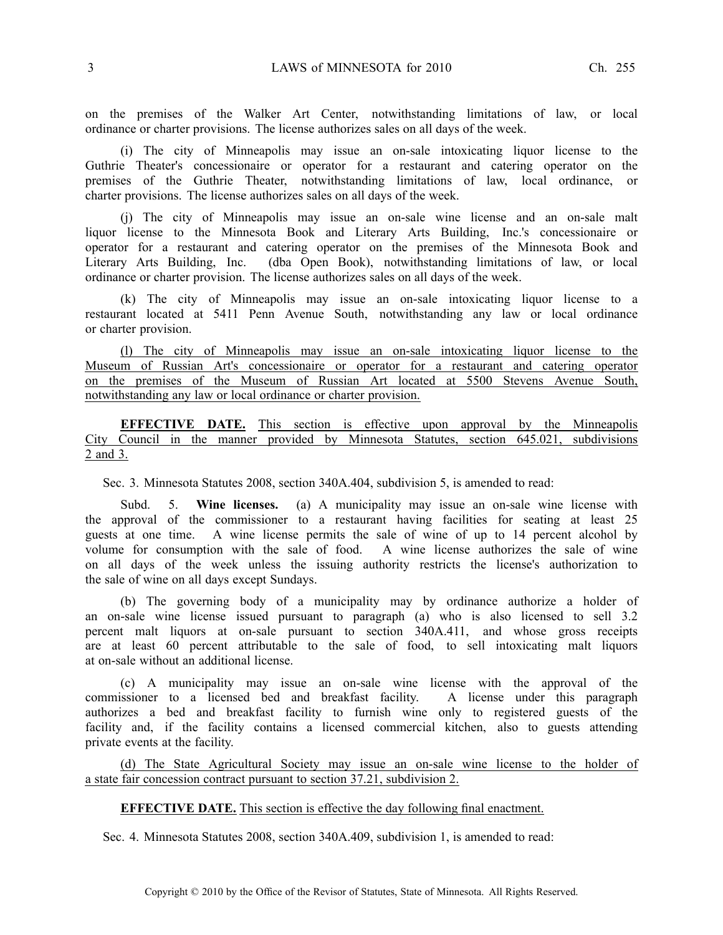on the premises of the Walker Art Center, notwithstanding limitations of law, or local ordinance or charter provisions. The license authorizes sales on all days of the week.

(i) The city of Minneapolis may issue an on-sale intoxicating liquor license to the Guthrie Theater's concessionaire or operator for <sup>a</sup> restaurant and catering operator on the premises of the Guthrie Theater, notwithstanding limitations of law, local ordinance, or charter provisions. The license authorizes sales on all days of the week.

(j) The city of Minneapolis may issue an on-sale wine license and an on-sale malt liquor license to the Minnesota Book and Literary Arts Building, Inc.'s concessionaire or operator for <sup>a</sup> restaurant and catering operator on the premises of the Minnesota Book and Literary Arts Building, Inc. (dba Open Book), notwithstanding limitations of law, or local ordinance or charter provision. The license authorizes sales on all days of the week.

(k) The city of Minneapolis may issue an on-sale intoxicating liquor license to <sup>a</sup> restaurant located at 5411 Penn Avenue South, notwithstanding any law or local ordinance or charter provision.

(l) The city of Minneapolis may issue an on-sale intoxicating liquor license to the Museum of Russian Art's concessionaire or operator for <sup>a</sup> restaurant and catering operator on the premises of the Museum of Russian Art located at 5500 Stevens Avenue South, notwithstanding any law or local ordinance or charter provision.

**EFFECTIVE DATE.** This section is effective upon approval by the Minneapolis City Council in the manner provided by Minnesota Statutes, section 645.021, subdivisions 2 and 3.

Sec. 3. Minnesota Statutes 2008, section 340A.404, subdivision 5, is amended to read:

Subd. 5. **Wine licenses.** (a) A municipality may issue an on-sale wine license with the approval of the commissioner to <sup>a</sup> restaurant having facilities for seating at least 25 guests at one time. A wine license permits the sale of wine of up to 14 percen<sup>t</sup> alcohol by volume for consumption with the sale of food. A wine license authorizes the sale of wine on all days of the week unless the issuing authority restricts the license's authorization to the sale of wine on all days excep<sup>t</sup> Sundays.

(b) The governing body of <sup>a</sup> municipality may by ordinance authorize <sup>a</sup> holder of an on-sale wine license issued pursuan<sup>t</sup> to paragraph (a) who is also licensed to sell 3.2 percen<sup>t</sup> malt liquors at on-sale pursuan<sup>t</sup> to section 340A.411, and whose gross receipts are at least 60 percen<sup>t</sup> attributable to the sale of food, to sell intoxicating malt liquors at on-sale without an additional license.

(c) A municipality may issue an on-sale wine license with the approval of the commissioner to <sup>a</sup> licensed bed and breakfast facility. A license under this paragraph authorizes <sup>a</sup> bed and breakfast facility to furnish wine only to registered guests of the facility and, if the facility contains <sup>a</sup> licensed commercial kitchen, also to guests attending private events at the facility.

(d) The State Agricultural Society may issue an on-sale wine license to the holder of <sup>a</sup> state fair concession contract pursuan<sup>t</sup> to section 37.21, subdivision 2.

## **EFFECTIVE DATE.** This section is effective the day following final enactment.

Sec. 4. Minnesota Statutes 2008, section 340A.409, subdivision 1, is amended to read: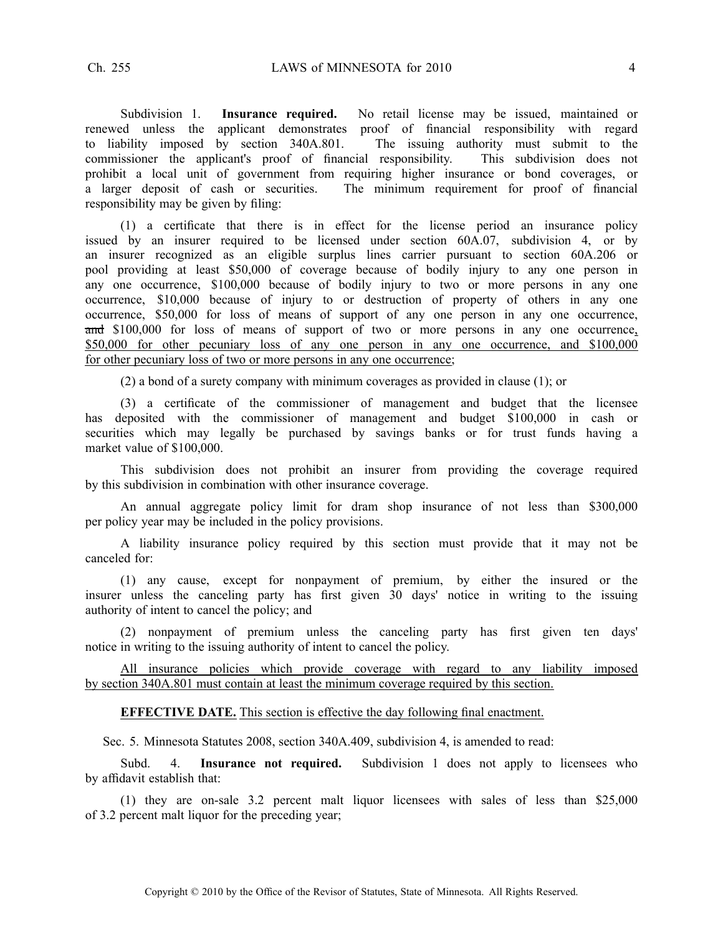Subdivision 1. **Insurance required.** No retail license may be issued, maintained or renewed unless the applicant demonstrates proof of financial responsibility with regard to liability imposed by section 340A.801. The issuing authority must submit to the commissioner the applicant's proof of financial responsibility. This subdivision does not prohibit a local unit of government from requiring higher insurance or bond coverages, or a larger deposit of cash or securities. The minimum requirement for proof of financial The minimum requirement for proof of financial responsibility may be given by filing:

(1) <sup>a</sup> certificate that there is in effect for the license period an insurance policy issued by an insurer required to be licensed under section 60A.07, subdivision 4, or by an insurer recognized as an eligible surplus lines carrier pursuan<sup>t</sup> to section 60A.206 or pool providing at least \$50,000 of coverage because of bodily injury to any one person in any one occurrence, \$100,000 because of bodily injury to two or more persons in any one occurrence, \$10,000 because of injury to or destruction of property of others in any one occurrence, \$50,000 for loss of means of suppor<sup>t</sup> of any one person in any one occurrence, and \$100,000 for loss of means of support of two or more persons in any one occurrence, \$50,000 for other pecuniary loss of any one person in any one occurrence, and \$100,000 for other pecuniary loss of two or more persons in any one occurrence;

(2) <sup>a</sup> bond of <sup>a</sup> surety company with minimum coverages as provided in clause (1); or

(3) <sup>a</sup> certificate of the commissioner of managemen<sup>t</sup> and budget that the licensee has deposited with the commissioner of managemen<sup>t</sup> and budget \$100,000 in cash or securities which may legally be purchased by savings banks or for trust funds having <sup>a</sup> market value of \$100,000.

This subdivision does not prohibit an insurer from providing the coverage required by this subdivision in combination with other insurance coverage.

An annual aggregate policy limit for dram shop insurance of not less than \$300,000 per policy year may be included in the policy provisions.

A liability insurance policy required by this section must provide that it may not be canceled for:

(1) any cause, excep<sup>t</sup> for nonpaymen<sup>t</sup> of premium, by either the insured or the insurer unless the canceling party has first given 30 days' notice in writing to the issuing authority of intent to cancel the policy; and

(2) nonpaymen<sup>t</sup> of premium unless the canceling party has first given ten days' notice in writing to the issuing authority of intent to cancel the policy.

All insurance policies which provide coverage with regard to any liability imposed by section 340A.801 must contain at least the minimum coverage required by this section.

#### **EFFECTIVE DATE.** This section is effective the day following final enactment.

Sec. 5. Minnesota Statutes 2008, section 340A.409, subdivision 4, is amended to read:

Subd. 4. **Insurance not required.** Subdivision 1 does not apply to licensees who by affidavit establish that:

(1) they are on-sale 3.2 percen<sup>t</sup> malt liquor licensees with sales of less than \$25,000 of 3.2 percen<sup>t</sup> malt liquor for the preceding year;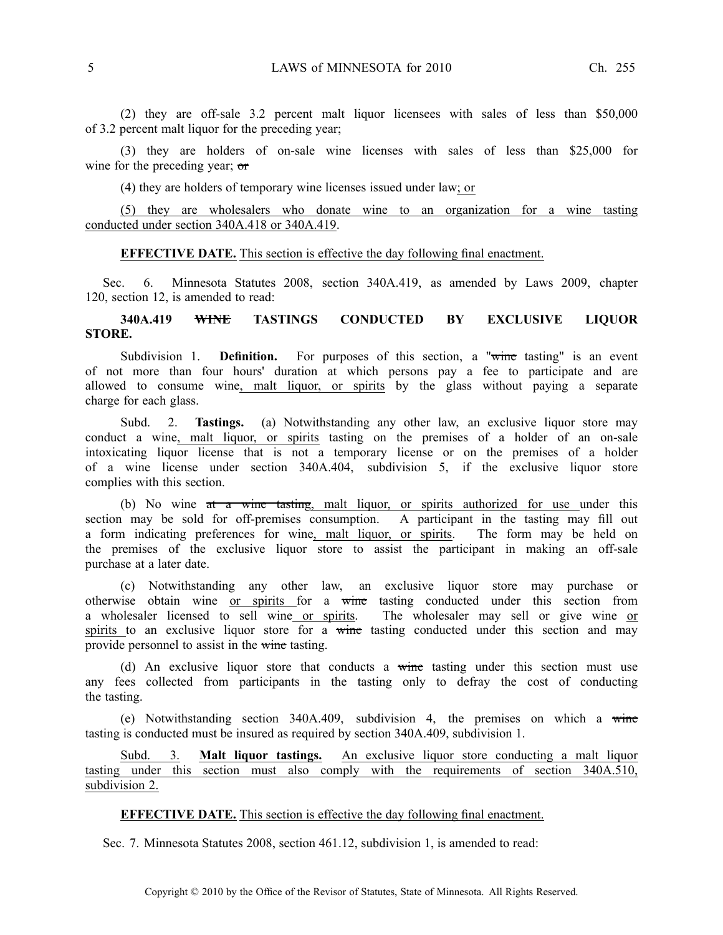(2) they are off-sale 3.2 percen<sup>t</sup> malt liquor licensees with sales of less than \$50,000 of 3.2 percen<sup>t</sup> malt liquor for the preceding year;

(3) they are holders of on-sale wine licenses with sales of less than \$25,000 for wine for the preceding year; or

(4) they are holders of temporary wine licenses issued under law; or

(5) they are wholesalers who donate wine to an organization for <sup>a</sup> wine tasting conducted under section 340A.418 or 340A.419.

# **EFFECTIVE DATE.** This section is effective the day following final enactment.

Sec. 6. Minnesota Statutes 2008, section 340A.419, as amended by Laws 2009, chapter 120, section 12, is amended to read:

# **340A.419 WINE TASTINGS CONDUCTED BY EXCLUSIVE LIQUOR STORE.**

Subdivision 1. **Definition.** For purposes of this section, a "wine tasting" is an event of not more than four hours' duration at which persons pay <sup>a</sup> fee to participate and are allowed to consume wine, malt liquor, or spirits by the glass without paying <sup>a</sup> separate charge for each glass.

Subd. 2. **Tastings.** (a) Notwithstanding any other law, an exclusive liquor store may conduct <sup>a</sup> wine, malt liquor, or spirits tasting on the premises of <sup>a</sup> holder of an on-sale intoxicating liquor license that is not <sup>a</sup> temporary license or on the premises of <sup>a</sup> holder of <sup>a</sup> wine license under section 340A.404, subdivision 5, if the exclusive liquor store complies with this section.

(b) No wine at a wine tasting, malt liquor, or spirits authorized for use under this section may be sold for off-premises consumption. A participant in the tasting may fill out <sup>a</sup> form indicating preferences for wine, malt liquor, or spirits. The form may be held on the premises of the exclusive liquor store to assist the participant in making an off-sale purchase at <sup>a</sup> later date.

(c) Notwithstanding any other law, an exclusive liquor store may purchase or otherwise obtain wine or spirits for <sup>a</sup> wine tasting conducted under this section from a wholesaler licensed to sell wine or spirits. The wholesaler may sell or give wine or spirits to an exclusive liquor store for a wine tasting conducted under this section and may provide personnel to assist in the wine tasting.

(d) An exclusive liquor store that conducts <sup>a</sup> wine tasting under this section must use any fees collected from participants in the tasting only to defray the cost of conducting the tasting.

(e) Notwithstanding section  $340A.409$ , subdivision 4, the premises on which a wine tasting is conducted must be insured as required by section 340A.409, subdivision 1.

Subd. 3. **Malt liquor tastings.** An exclusive liquor store conducting <sup>a</sup> malt liquor tasting under this section must also comply with the requirements of section 340A.510, subdivision 2.

#### **EFFECTIVE DATE.** This section is effective the day following final enactment.

Sec. 7. Minnesota Statutes 2008, section 461.12, subdivision 1, is amended to read: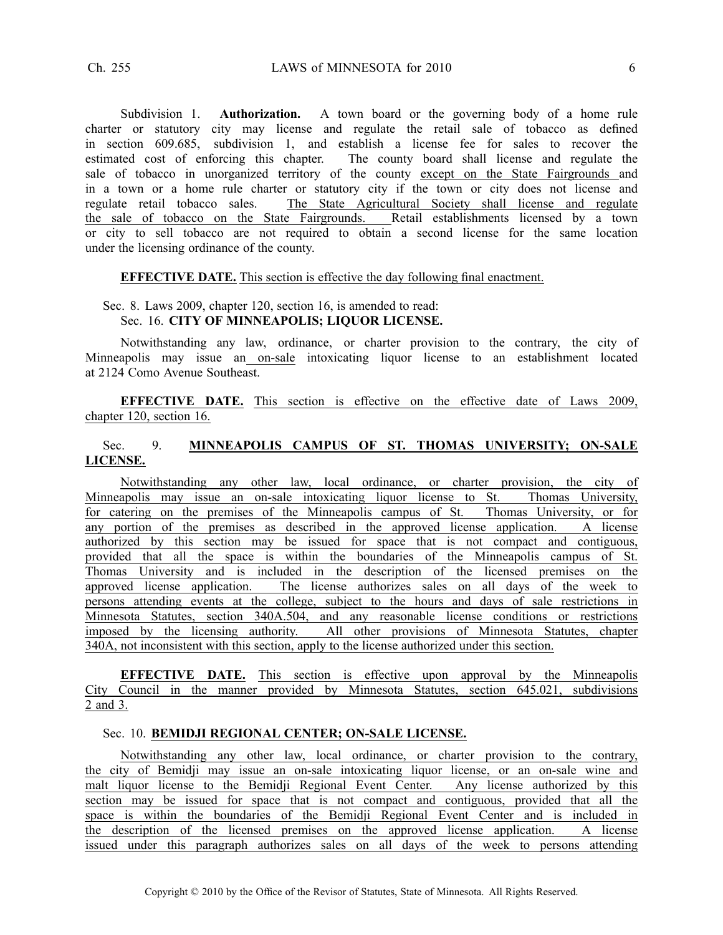Subdivision 1. **Authorization.** A town board or the governing body of <sup>a</sup> home rule charter or statutory city may license and regulate the retail sale of tobacco as defined in section 609.685, subdivision 1, and establish <sup>a</sup> license fee for sales to recover the estimated cost of enforcing this chapter. The county board shall license and regulate the sale of tobacco in unorganized territory of the county excep<sup>t</sup> on the State Fairgrounds and in <sup>a</sup> town or <sup>a</sup> home rule charter or statutory city if the town or city does not license and regulate retail tobacco sales. The State Agricultural Society shall license and regulate the sale of tobacco on the State Fairgrounds. Retail establishments licensed by <sup>a</sup> town or city to sell tobacco are not required to obtain <sup>a</sup> second license for the same location under the licensing ordinance of the county.

#### **EFFECTIVE DATE.** This section is effective the day following final enactment.

## Sec. 8. Laws 2009, chapter 120, section 16, is amended to read: Sec. 16. **CITY OF MINNEAPOLIS; LIQUOR LICENSE.**

Notwithstanding any law, ordinance, or charter provision to the contrary, the city of Minneapolis may issue an on-sale intoxicating liquor license to an establishment located at 2124 Como Avenue Southeast.

**EFFECTIVE DATE.** This section is effective on the effective date of Laws 2009, chapter 120, section 16.

# Sec. 9. **MINNEAPOLIS CAMPUS OF ST. THOMAS UNIVERSITY; ON-SALE LICENSE.**

Notwithstanding any other law, local ordinance, or charter provision, the city of Minneapolis may issue an on-sale intoxicating liquor license to St. Thomas University, for catering on the premises of the Minneapolis campus of St. Thomas University, or for any portion of the premises as described in the approved license application. A license authorized by this section may be issued for space that is not compact and contiguous, provided that all the space is within the boundaries of the Minneapolis campus of St. Thomas University and is included in the description of the licensed premises on the approved license application. The license authorizes sales on all days of the week to persons attending events at the college, subject to the hours and days of sale restrictions in Minnesota Statutes, section 340A.504, and any reasonable license conditions or restrictions imposed by the licensing authority. All other provisions of Minnesota Statutes, chapter 340A, not inconsistent with this section, apply to the license authorized under this section.

**EFFECTIVE DATE.** This section is effective upon approval by the Minneapolis City Council in the manner provided by Minnesota Statutes, section 645.021, subdivisions 2 and 3.

# Sec. 10. **BEMIDJI REGIONAL CENTER; ON-SALE LICENSE.**

Notwithstanding any other law, local ordinance, or charter provision to the contrary, the city of Bemidji may issue an on-sale intoxicating liquor license, or an on-sale wine and malt liquor license to the Bemidji Regional Event Center. Any license authorized by this section may be issued for space that is not compac<sup>t</sup> and contiguous, provided that all the space is within the boundaries of the Bemidji Regional Event Center and is included in the description of the licensed premises on the approved license application. A license issued under this paragraph authorizes sales on all days of the week to persons attending